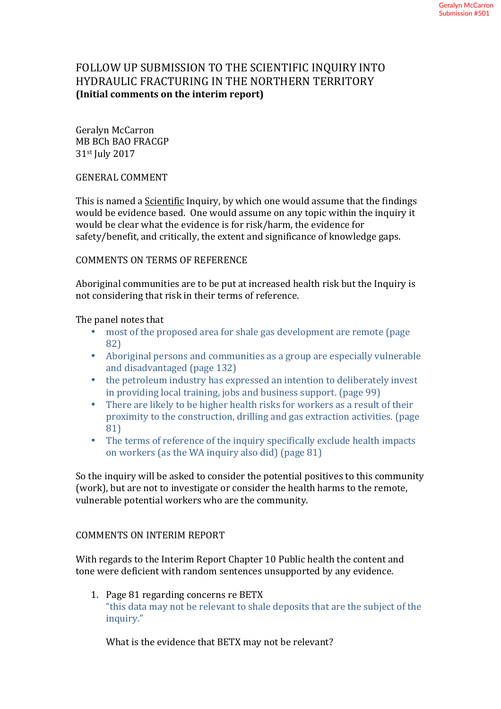# FOLLOW UP SUBMISSION TO THE SCIENTIFIC INQUIRY INTO HYDRAULIC FRACTURING IN THE NORTHERN TERRITORY (Initial comments on the interim report)

Geralyn McCarron MB BCh BAO FRACGP 31st July 2017

# GENERAL COMMENT

This is named a *Scientific Inquiry*, by which one would assume that the findings would be evidence based. One would assume on any topic within the inquiry it would be clear what the evidence is for risk/harm, the evidence for safety/benefit, and critically, the extent and significance of knowledge gaps.

# COMMENTS ON TERMS OF REFERENCE

Aboriginal communities are to be put at increased health risk but the Inquiry is not considering that risk in their terms of reference.

The panel notes that

- most of the proposed area for shale gas development are remote (page) 82)
- Aboriginal persons and communities as a group are especially vulnerable and disadvantaged (page 132)
- the petroleum industry has expressed an intention to deliberately invest in providing local training, jobs and business support. (page 99)
- There are likely to be higher health risks for workers as a result of their proximity to the construction, drilling and gas extraction activities. (page 81)
- The terms of reference of the inquiry specifically exclude health impacts on workers (as the WA inquiry also did) (page 81)

So the inquiry will be asked to consider the potential positives to this community (work), but are not to investigate or consider the health harms to the remote, vulnerable potential workers who are the community.

# COMMENTS ON INTERIM REPORT

With regards to the Interim Report Chapter 10 Public health the content and tone were deficient with random sentences unsupported by any evidence.

1. Page 81 regarding concerns re BETX "this data may not be relevant to shale deposits that are the subject of the inquiry."

What is the evidence that BETX may not be relevant?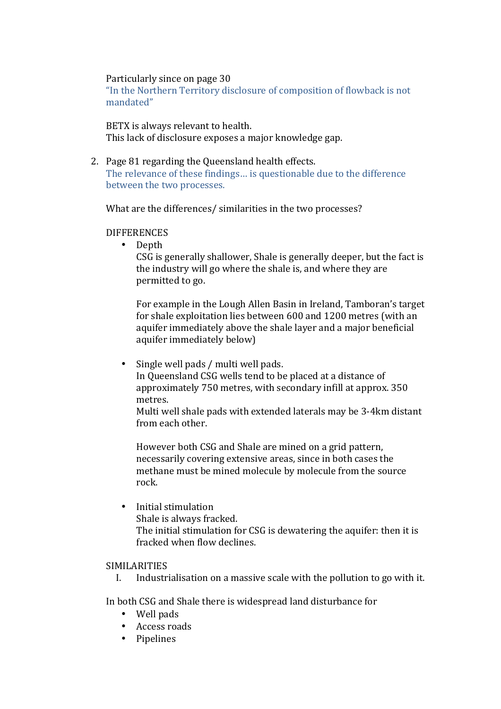## Particularly since on page 30

"In the Northern Territory disclosure of composition of flowback is not mandated"

BETX is always relevant to health. This lack of disclosure exposes a major knowledge gap.

2. Page 81 regarding the Queensland health effects. The relevance of these findings... is questionable due to the difference between the two processes.

What are the differences/ similarities in the two processes?

# **DIFFERENCES**

• Depth

CSG is generally shallower, Shale is generally deeper, but the fact is the industry will go where the shale is, and where they are permitted to go.

For example in the Lough Allen Basin in Ireland, Tamboran's target for shale exploitation lies between 600 and 1200 metres (with an aquifer immediately above the shale layer and a major beneficial aquifer immediately below)

• Single well pads / multi well pads.

In Queensland CSG wells tend to be placed at a distance of approximately 750 metres, with secondary infill at approx. 350 metres.

Multi well shale pads with extended laterals may be 3-4km distant from each other.

However both CSG and Shale are mined on a grid pattern, necessarily covering extensive areas, since in both cases the methane must be mined molecule by molecule from the source rock.

• Initial stimulation Shale is always fracked. The initial stimulation for CSG is dewatering the aquifer: then it is fracked when flow declines

### SIMILARITIES

I. Industrialisation on a massive scale with the pollution to go with it.

In both CSG and Shale there is widespread land disturbance for

- Well pads
- Access roads
- Pipelines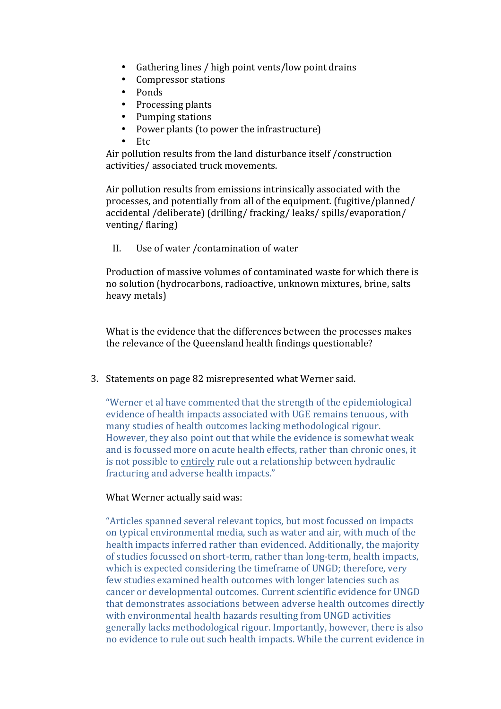- Gathering lines / high point vents/low point drains
- Compressor stations
- Ponds
- Processing plants
- Pumping stations
- Power plants (to power the infrastructure)
- Etc

Air pollution results from the land disturbance itself /construction activities/ associated truck movements.

Air pollution results from emissions intrinsically associated with the processes, and potentially from all of the equipment. (fugitive/planned/ accidental /deliberate) (drilling/ fracking/ leaks/ spills/evaporation/ venting/ flaring)

II. Use of water / contamination of water

Production of massive volumes of contaminated waste for which there is no solution (hydrocarbons, radioactive, unknown mixtures, brine, salts heavy metals)

What is the evidence that the differences between the processes makes the relevance of the Queensland health findings questionable?

3. Statements on page 82 misrepresented what Werner said.

"Werner et al have commented that the strength of the epidemiological evidence of health impacts associated with UGE remains tenuous, with many studies of health outcomes lacking methodological rigour. However, they also point out that while the evidence is somewhat weak and is focussed more on acute health effects, rather than chronic ones, it is not possible to entirely rule out a relationship between hydraulic fracturing and adverse health impacts."

# What Werner actually said was:

"Articles spanned several relevant topics, but most focussed on impacts on typical environmental media, such as water and air, with much of the health impacts inferred rather than evidenced. Additionally, the majority of studies focussed on short-term, rather than long-term, health impacts, which is expected considering the timeframe of UNGD; therefore, very few studies examined health outcomes with longer latencies such as cancer or developmental outcomes. Current scientific evidence for UNGD that demonstrates associations between adverse health outcomes directly with environmental health hazards resulting from UNGD activities generally lacks methodological rigour. Importantly, however, there is also no evidence to rule out such health impacts. While the current evidence in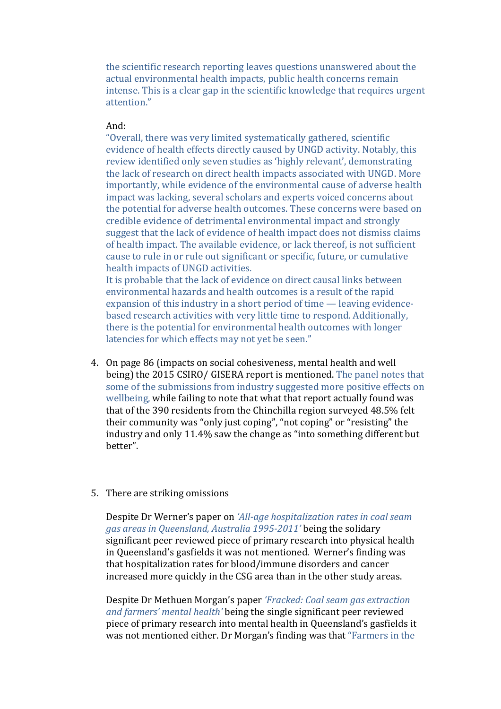the scientific research reporting leaves questions unanswered about the actual environmental health impacts, public health concerns remain intense. This is a clear gap in the scientific knowledge that requires urgent attention."

#### And:

"Overall, there was very limited systematically gathered, scientific evidence of health effects directly caused by UNGD activity. Notably, this review identified only seven studies as 'highly relevant', demonstrating the lack of research on direct health impacts associated with UNGD. More importantly, while evidence of the environmental cause of adverse health impact was lacking, several scholars and experts voiced concerns about the potential for adverse health outcomes. These concerns were based on credible evidence of detrimental environmental impact and strongly suggest that the lack of evidence of health impact does not dismiss claims of health impact. The available evidence, or lack thereof, is not sufficient cause to rule in or rule out significant or specific, future, or cumulative health impacts of UNGD activities.

It is probable that the lack of evidence on direct causal links between environmental hazards and health outcomes is a result of the rapid expansion of this industry in a short period of time  $-$  leaving evidencebased research activities with very little time to respond. Additionally, there is the potential for environmental health outcomes with longer latencies for which effects may not yet be seen."

- 4. On page 86 (impacts on social cohesiveness, mental health and well being) the 2015 CSIRO/ GISERA report is mentioned. The panel notes that some of the submissions from industry suggested more positive effects on wellbeing, while failing to note that what that report actually found was that of the 390 residents from the Chinchilla region surveyed 48.5% felt their community was "only just coping", "not coping" or "resisting" the industry and only 11.4% saw the change as "into something different but better".
- 5. There are striking omissions

Despite Dr Werner's paper on 'All-age hospitalization rates in coal seam *gas areas in Queensland, Australia 1995-2011'* being the solidary significant peer reviewed piece of primary research into physical health in Queensland's gasfields it was not mentioned. Werner's finding was that hospitalization rates for blood/immune disorders and cancer increased more quickly in the CSG area than in the other study areas.

Despite Dr Methuen Morgan's paper *'Fracked: Coal seam gas extraction* and farmers' mental health' being the single significant peer reviewed piece of primary research into mental health in Queensland's gasfields it was not mentioned either. Dr Morgan's finding was that "Farmers in the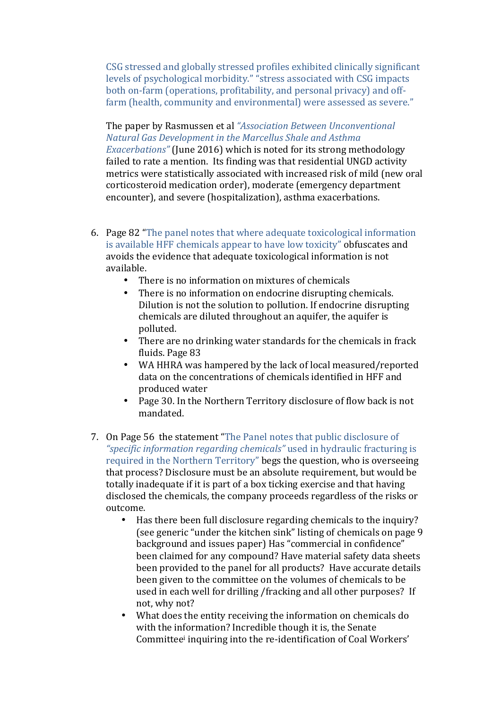CSG stressed and globally stressed profiles exhibited clinically significant levels of psychological morbidity." "stress associated with CSG impacts both on-farm (operations, profitability, and personal privacy) and offfarm (health, community and environmental) were assessed as severe."

The paper by Rasmussen et al *"Association Between Unconventional Natural Gas Development in the Marcellus Shale and Asthma Exacerbations"* (June 2016) which is noted for its strong methodology failed to rate a mention. Its finding was that residential UNGD activity metrics were statistically associated with increased risk of mild (new oral corticosteroid medication order), moderate (emergency department encounter), and severe (hospitalization), asthma exacerbations.

- 6. Page 82 "The panel notes that where adequate toxicological information is available HFF chemicals appear to have low toxicity" obfuscates and avoids the evidence that adequate toxicological information is not available.
	- There is no information on mixtures of chemicals
	- There is no information on endocrine disrupting chemicals. Dilution is not the solution to pollution. If endocrine disrupting chemicals are diluted throughout an aquifer, the aquifer is polluted.
	- There are no drinking water standards for the chemicals in frack fluids. Page 83
	- WA HHRA was hampered by the lack of local measured/reported data on the concentrations of chemicals identified in HFF and produced water
	- Page 30. In the Northern Territory disclosure of flow back is not mandated.
- 7. On Page 56 the statement "The Panel notes that public disclosure of "specific information regarding chemicals" used in hydraulic fracturing is required in the Northern Territory" begs the question, who is overseeing that process? Disclosure must be an absolute requirement, but would be totally inadequate if it is part of a box ticking exercise and that having disclosed the chemicals, the company proceeds regardless of the risks or outcome.
	- Has there been full disclosure regarding chemicals to the inquiry? (see generic "under the kitchen sink" listing of chemicals on page  $9$ ) background and issues paper) Has "commercial in confidence" been claimed for any compound? Have material safety data sheets been provided to the panel for all products? Have accurate details been given to the committee on the volumes of chemicals to be used in each well for drilling /fracking and all other purposes? If not, why not?
	- What does the entity receiving the information on chemicals do with the information? Incredible though it is, the Senate Committee<sup>i</sup> inquiring into the re-identification of Coal Workers'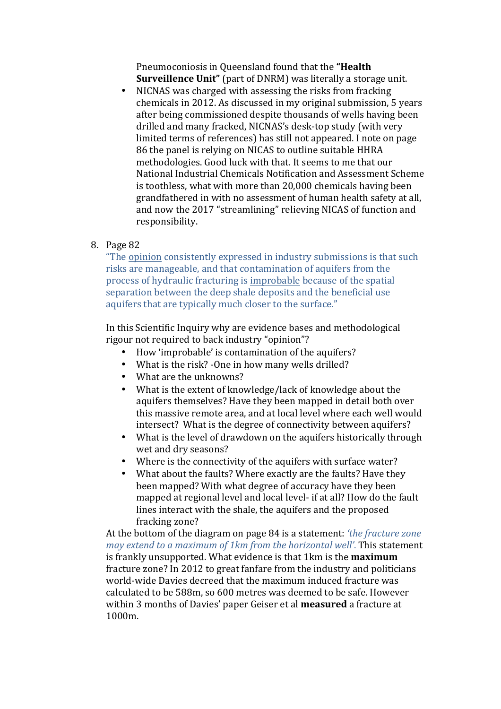Pneumoconiosis in Queensland found that the "**Health Surveillence Unit"** (part of DNRM) was literally a storage unit.

• NICNAS was charged with assessing the risks from fracking chemicals in 2012. As discussed in my original submission, 5 years after being commissioned despite thousands of wells having been drilled and many fracked, NICNAS's desk-top study (with very limited terms of references) has still not appeared. I note on page 86 the panel is relying on NICAS to outline suitable HHRA methodologies. Good luck with that. It seems to me that our National Industrial Chemicals Notification and Assessment Scheme is toothless, what with more than 20,000 chemicals having been grandfathered in with no assessment of human health safety at all, and now the 2017 "streamlining" relieving NICAS of function and responsibility.

# 8. Page 82

"The opinion consistently expressed in industry submissions is that such risks are manageable, and that contamination of aquifers from the process of hydraulic fracturing is improbable because of the spatial separation between the deep shale deposits and the beneficial use aquifers that are typically much closer to the surface."

In this Scientific Inquiry why are evidence bases and methodological rigour not required to back industry "opinion"?

- How 'improbable' is contamination of the aquifers?
- What is the risk? -One in how many wells drilled?
- What are the unknowns?
- What is the extent of knowledge/lack of knowledge about the aquifers themselves? Have they been mapped in detail both over this massive remote area, and at local level where each well would intersect? What is the degree of connectivity between aquifers?
- What is the level of drawdown on the aquifers historically through wet and dry seasons?
- Where is the connectivity of the aquifers with surface water?
- What about the faults? Where exactly are the faults? Have they been mapped? With what degree of accuracy have they been mapped at regional level and local level- if at all? How do the fault lines interact with the shale, the aquifers and the proposed fracking zone?

At the bottom of the diagram on page 84 is a statement: *'the fracture zone may extend to a maximum of 1km from the horizontal well'*. This statement is frankly unsupported. What evidence is that 1km is the **maximum** fracture zone? In 2012 to great fanfare from the industry and politicians world-wide Davies decreed that the maximum induced fracture was calculated to be 588m, so 600 metres was deemed to be safe. However within 3 months of Davies' paper Geiser et al **measured** a fracture at 1000m.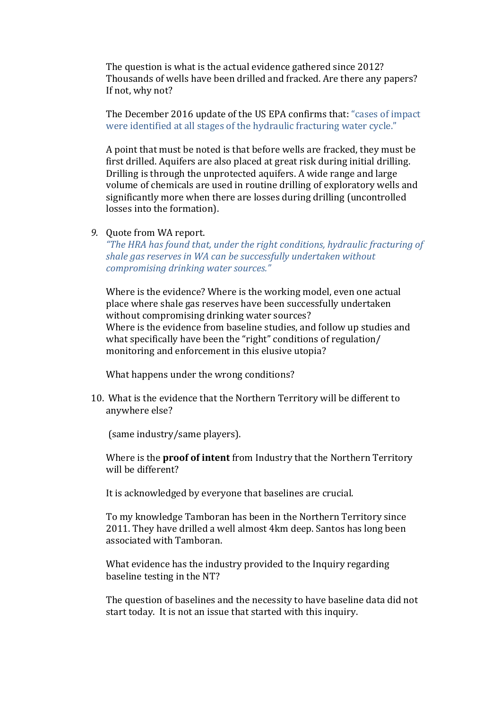The question is what is the actual evidence gathered since 2012? Thousands of wells have been drilled and fracked. Are there any papers? If not, why not?

The December 2016 update of the US EPA confirms that: "cases of impact were identified at all stages of the hydraulic fracturing water cycle."

A point that must be noted is that before wells are fracked, they must be first drilled. Aquifers are also placed at great risk during initial drilling. Drilling is through the unprotected aquifers. A wide range and large volume of chemicals are used in routine drilling of exploratory wells and significantly more when there are losses during drilling (uncontrolled losses into the formation).

#### 9. Quote from WA report.

*"The HRA has found that, under the right conditions, hydraulic fracturing of* shale gas reserves in WA can be successfully undertaken without *compromising drinking water sources."*

Where is the evidence? Where is the working model, even one actual place where shale gas reserves have been successfully undertaken without compromising drinking water sources? Where is the evidence from baseline studies, and follow up studies and what specifically have been the "right" conditions of regulation/ monitoring and enforcement in this elusive utopia?

What happens under the wrong conditions?

10. What is the evidence that the Northern Territory will be different to anywhere else?

(same industry/same players).

Where is the **proof of intent** from Industry that the Northern Territory will be different?

It is acknowledged by everyone that baselines are crucial.

To my knowledge Tamboran has been in the Northern Territory since 2011. They have drilled a well almost 4km deep. Santos has long been associated with Tamboran.

What evidence has the industry provided to the Inquiry regarding baseline testing in the NT?

The question of baselines and the necessity to have baseline data did not start today. It is not an issue that started with this inquiry.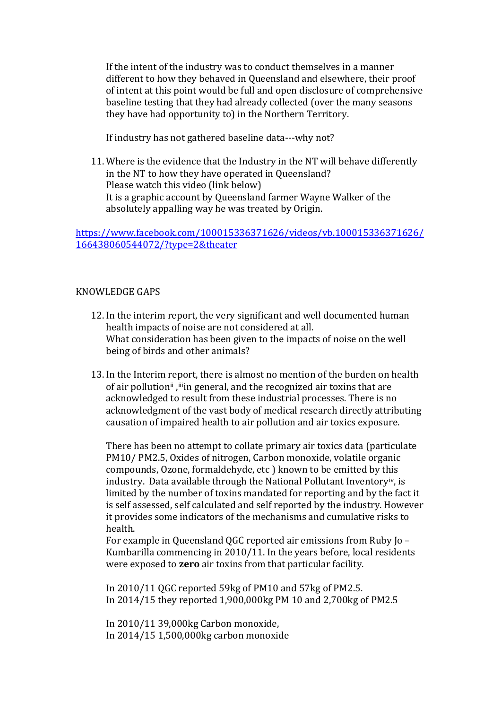If the intent of the industry was to conduct themselves in a manner different to how they behaved in Queensland and elsewhere, their proof of intent at this point would be full and open disclosure of comprehensive baseline testing that they had already collected (over the many seasons they have had opportunity to) in the Northern Territory.

If industry has not gathered baseline data---why not?

11. Where is the evidence that the Industry in the NT will behave differently in the NT to how they have operated in Queensland? Please watch this video (link below) It is a graphic account by Queensland farmer Wayne Walker of the absolutely appalling way he was treated by Origin.

https://www.facebook.com/100015336371626/videos/vb.100015336371626/ 166438060544072/?type=2&theater

### KNOWLEDGE GAPS

- 12. In the interim report, the very significant and well documented human health impacts of noise are not considered at all. What consideration has been given to the impacts of noise on the well being of birds and other animals?
- 13. In the Interim report, there is almost no mention of the burden on health of air pollution<sup>ii</sup>, iiin general, and the recognized air toxins that are acknowledged to result from these industrial processes. There is no acknowledgment of the vast body of medical research directly attributing causation of impaired health to air pollution and air toxics exposure.

There has been no attempt to collate primary air toxics data (particulate PM10/ PM2.5, Oxides of nitrogen, Carbon monoxide, volatile organic compounds, Ozone, formaldehyde, etc ) known to be emitted by this industry. Data available through the National Pollutant Inventory<sup>iv</sup>, is limited by the number of toxins mandated for reporting and by the fact it is self assessed, self calculated and self reported by the industry. However it provides some indicators of the mechanisms and cumulative risks to health. 

For example in Queensland QGC reported air emissions from Ruby  $\overline{a}$  – Kumbarilla commencing in 2010/11. In the years before, local residents were exposed to **zero** air toxins from that particular facility.

In 2010/11 QGC reported 59kg of PM10 and 57kg of PM2.5. In 2014/15 they reported 1,900,000kg PM 10 and 2,700kg of PM2.5

In 2010/11 39,000kg Carbon monoxide, In 2014/15 1,500,000kg carbon monoxide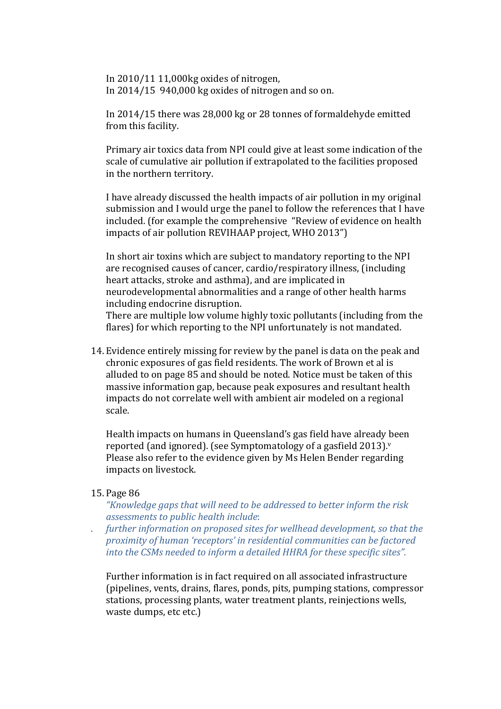In  $2010/1111,000$ kg oxides of nitrogen, In  $2014/15$  940,000 kg oxides of nitrogen and so on.

In 2014/15 there was 28,000 kg or 28 tonnes of formaldehyde emitted from this facility.

Primary air toxics data from NPI could give at least some indication of the scale of cumulative air pollution if extrapolated to the facilities proposed in the northern territory.

I have already discussed the health impacts of air pollution in my original submission and I would urge the panel to follow the references that I have included. (for example the comprehensive "Review of evidence on health impacts of air pollution REVIHAAP project, WHO 2013")

In short air toxins which are subject to mandatory reporting to the NPI are recognised causes of cancer, cardio/respiratory illness, (including heart attacks, stroke and asthma), and are implicated in neurodevelopmental abnormalities and a range of other health harms including endocrine disruption.

There are multiple low volume highly toxic pollutants (including from the flares) for which reporting to the NPI unfortunately is not mandated.

14. Evidence entirely missing for review by the panel is data on the peak and chronic exposures of gas field residents. The work of Brown et al is alluded to on page 85 and should be noted. Notice must be taken of this massive information gap, because peak exposures and resultant health impacts do not correlate well with ambient air modeled on a regional scale. 

Health impacts on humans in Queensland's gas field have already been reported (and ignored). (see Symptomatology of a gasfield 2013). $^{\text{v}}$ Please also refer to the evidence given by Ms Helen Bender regarding impacts on livestock.

#### 15. Page 86

*"Knowledge gaps that will need to be addressed to better inform the risk assessments to public health include*:

further information on proposed sites for wellhead development, so that the *proximity of human 'receptors' in residential communities can be factored into the CSMs needed to inform a detailed HHRA for these specific sites".* 

Further information is in fact required on all associated infrastructure (pipelines, vents, drains, flares, ponds, pits, pumping stations, compressor stations, processing plants, water treatment plants, reinjections wells, waste dumps, etc etc.)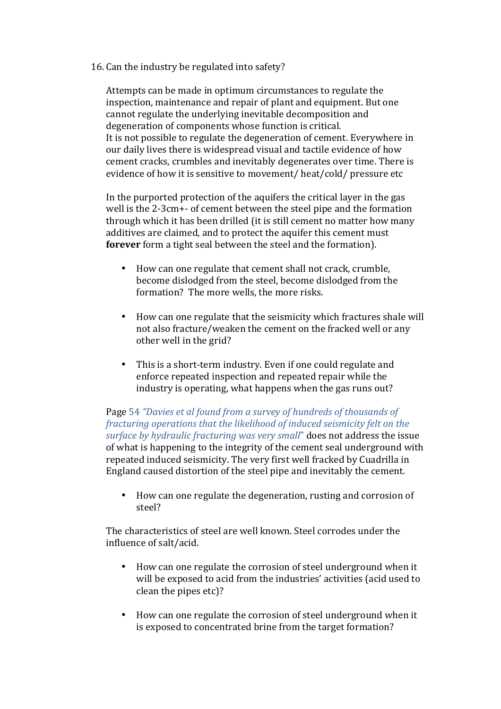16. Can the industry be regulated into safety?

Attempts can be made in optimum circumstances to regulate the inspection, maintenance and repair of plant and equipment. But one cannot regulate the underlying inevitable decomposition and degeneration of components whose function is critical. It is not possible to regulate the degeneration of cement. Everywhere in our daily lives there is widespread visual and tactile evidence of how cement cracks, crumbles and inevitably degenerates over time. There is evidence of how it is sensitive to movement/ heat/cold/ pressure etc

In the purported protection of the aquifers the critical layer in the gas well is the 2-3cm+- of cement between the steel pipe and the formation through which it has been drilled (it is still cement no matter how many additives are claimed, and to protect the aquifer this cement must **forever** form a tight seal between the steel and the formation).

- How can one regulate that cement shall not crack, crumble, become dislodged from the steel, become dislodged from the formation? The more wells, the more risks.
- How can one regulate that the seismicity which fractures shale will not also fracture/weaken the cement on the fracked well or any other well in the grid?
- This is a short-term industry. Even if one could regulate and enforce repeated inspection and repeated repair while the industry is operating, what happens when the gas runs out?

Page 54 *"Davies et al found from a survey of hundreds of thousands of fracturing operations that the likelihood of induced seismicity felt on the surface by hydraulic fracturing was very small*" does not address the issue of what is happening to the integrity of the cement seal underground with repeated induced seismicity. The very first well fracked by Cuadrilla in England caused distortion of the steel pipe and inevitably the cement.

• How can one regulate the degeneration, rusting and corrosion of steel?

The characteristics of steel are well known. Steel corrodes under the influence of salt/acid.

- How can one regulate the corrosion of steel underground when it will be exposed to acid from the industries' activities (acid used to clean the pipes etc)?
- How can one regulate the corrosion of steel underground when it is exposed to concentrated brine from the target formation?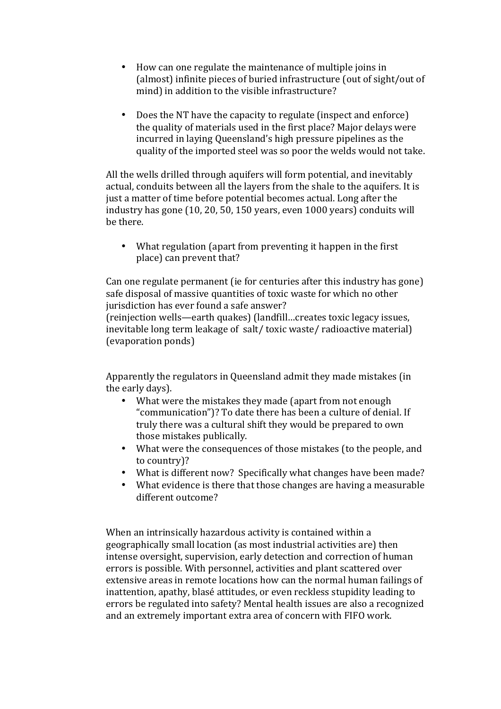- How can one regulate the maintenance of multiple joins in (almost) infinite pieces of buried infrastructure (out of sight/out of mind) in addition to the visible infrastructure?
- Does the NT have the capacity to regulate (inspect and enforce) the quality of materials used in the first place? Major delays were incurred in laying Queensland's high pressure pipelines as the quality of the imported steel was so poor the welds would not take.

All the wells drilled through aquifers will form potential, and inevitably actual, conduits between all the layers from the shale to the aquifers. It is just a matter of time before potential becomes actual. Long after the industry has gone (10, 20, 50, 150 years, even 1000 years) conduits will be there. 

• What regulation (apart from preventing it happen in the first place) can prevent that?

Can one regulate permanent (ie for centuries after this industry has gone) safe disposal of massive quantities of toxic waste for which no other jurisdiction has ever found a safe answer?

(reinjection wells—earth quakes) (landfill...creates toxic legacy issues, inevitable long term leakage of salt/ toxic waste/ radioactive material) (evaporation ponds)

Apparently the regulators in Oueensland admit they made mistakes (in the early days).

- What were the mistakes they made (apart from not enough "communication")? To date there has been a culture of denial. If truly there was a cultural shift they would be prepared to own those mistakes publically.
- What were the consequences of those mistakes (to the people, and to country)?
- What is different now? Specifically what changes have been made?
- What evidence is there that those changes are having a measurable different outcome?

When an intrinsically hazardous activity is contained within a geographically small location (as most industrial activities are) then intense oversight, supervision, early detection and correction of human errors is possible. With personnel, activities and plant scattered over extensive areas in remote locations how can the normal human failings of inattention, apathy, blasé attitudes, or even reckless stupidity leading to errors be regulated into safety? Mental health issues are also a recognized and an extremely important extra area of concern with FIFO work.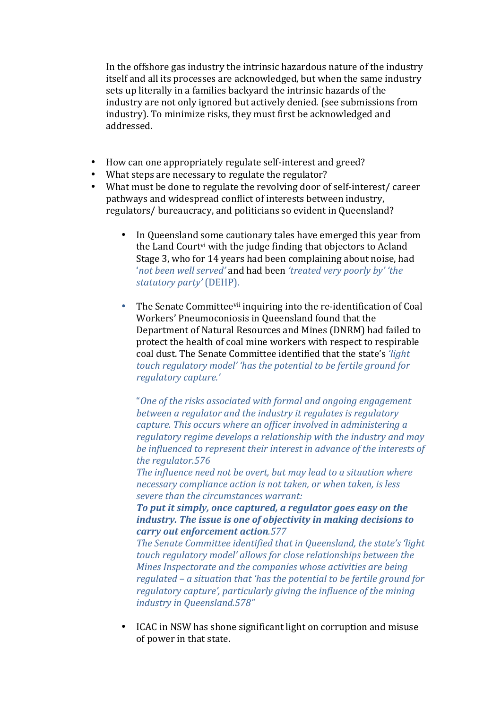In the offshore gas industry the intrinsic hazardous nature of the industry itself and all its processes are acknowledged, but when the same industry sets up literally in a families backyard the intrinsic hazards of the industry are not only ignored but actively denied. (see submissions from industry). To minimize risks, they must first be acknowledged and addressed.

- How can one appropriately regulate self-interest and greed?
- What steps are necessary to regulate the regulator?
- What must be done to regulate the revolving door of self-interest/ career pathways and widespread conflict of interests between industry, regulators/ bureaucracy, and politicians so evident in Queensland?
	- In Queensland some cautionary tales have emerged this year from the Land Court<sup>vi</sup> with the judge finding that objectors to Acland Stage 3, who for 14 years had been complaining about noise, had 'not been well served' and had been 'treated very poorly by' 'the *statutory party'* (DEHP).
	- The Senate Committeevii inquiring into the re-identification of Coal Workers' Pneumoconiosis in Oueensland found that the Department of Natural Resources and Mines (DNRM) had failed to protect the health of coal mine workers with respect to respirable coal dust. The Senate Committee identified that the state's *'light touch regulatory model' 'has the potential to be fertile ground for regulatory capture.'*

"One of the risks associated with formal and ongoing engagement *between a regulator and the industry it regulates is regulatory capture. This occurs where an officer involved in administering a regulatory regime develops a relationship with the industry and may* be influenced to represent their interest in advance of the interests of the regulator.576

The influence need not be overt, but may lead to a situation where *necessary compliance action is not taken, or when taken, is less severe than the circumstances warrant:* 

To put it simply, once captured, a regulator goes easy on the *industry. The issue is one of objectivity in making decisions to carry out enforcement action.577*

*The Senate Committee identified that in Oueensland, the state's 'light'* touch regulatory model' allows for close relationships between the *Mines Inspectorate and the companies whose activities are being regulated* – *a* situation that 'has the potential to be fertile ground for *regulatory capture', particularly giving the influence of the mining industry in Queensland.578"* 

• ICAC in NSW has shone significant light on corruption and misuse of power in that state.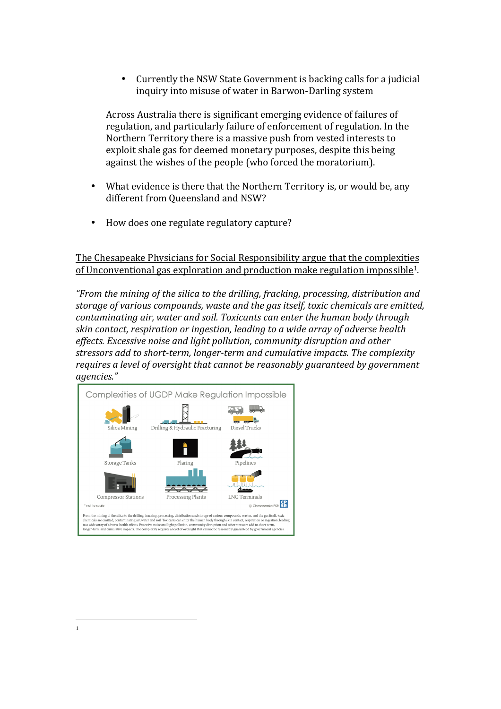• Currently the NSW State Government is backing calls for a judicial inquiry into misuse of water in Barwon-Darling system

Across Australia there is significant emerging evidence of failures of regulation, and particularly failure of enforcement of regulation. In the Northern Territory there is a massive push from vested interests to exploit shale gas for deemed monetary purposes, despite this being against the wishes of the people (who forced the moratorium).

- What evidence is there that the Northern Territory is, or would be, any different from Queensland and NSW?
- How does one regulate regulatory capture?

The Chesapeake Physicians for Social Responsibility argue that the complexities of Unconventional gas exploration and production make regulation impossible<sup>1</sup>.

"From the mining of the silica to the drilling, fracking, processing, distribution and *storage of various compounds, waste and the gas itself, toxic chemicals are emitted, contaminating air, water and soil. Toxicants can enter the human body through skin contact, respiration or ingestion, leading to a wide array of adverse health* effects. Excessive noise and light pollution, community disruption and other stressors add to short-term, longer-term and cumulative *impacts*. The complexity *requires a level of oversight that cannot be reasonably quaranteed by government agencies."*

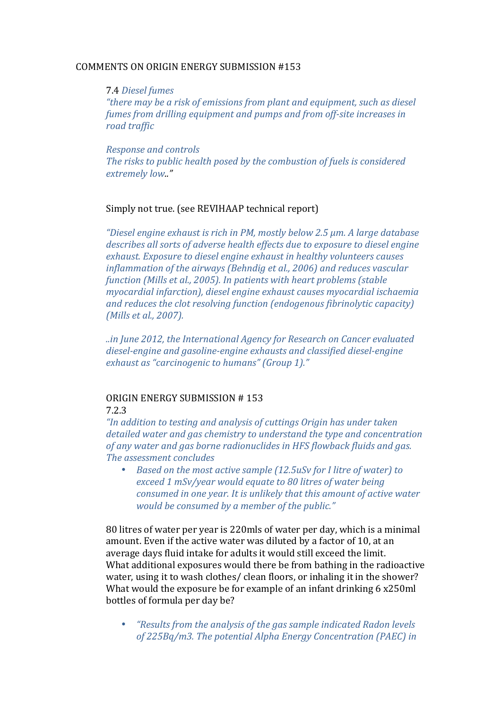### COMMENTS ON ORIGIN ENERGY SUBMISSION #153

7.4 *Diesel fumes "there may be a risk of emissions from plant and equipment, such as diesel fumes from drilling equipment and pumps and from off-site increases in road traffic*

*Response and controls* The risks to public health posed by the combustion of fuels is considered *extremely low.."*

## Simply not true. (see REVIHAAP technical report)

*"Diesel engine exhaust is rich in PM, mostly below 2.5 µm. A large database* describes all sorts of adverse health effects due to exposure to diesel engine exhaust. Exposure to diesel engine exhaust in healthy volunteers causes *inflammation of the airways (Behndig et al., 2006) and reduces vascular function* (Mills et al., 2005). In patients with heart problems (stable *myocardial infarction), diesel engine exhaust causes myocardial ischaemia and reduces the clot resolving function (endogenous fibrinolytic capacity) (Mills et al., 2007).* 

*..in June 2012, the International Agency for Research on Cancer evaluated*  diesel-engine and gasoline-engine exhausts and classified diesel-engine exhaust as "carcinogenic to humans" (Group 1)."

# ORIGIN ENERGY SUBMISSION # 153

# 7.2.3

*"In addition to testing and analysis of cuttings Origin has under taken detailed* water and gas chemistry to understand the type and concentration *of any water and gas borne radionuclides in HFS flowback fluids and gas. The assessment concludes*

• Based on the most active sample (12.5uSv for I litre of water) to exceed 1 mSv/year would equate to 80 litres of water being *consumed in one year. It is unlikely that this amount of active water would be consumed by a member of the public."* 

80 litres of water per year is 220mls of water per day, which is a minimal amount. Even if the active water was diluted by a factor of 10, at an average days fluid intake for adults it would still exceed the limit. What additional exposures would there be from bathing in the radioactive water, using it to wash clothes/ clean floors, or inhaling it in the shower? What would the exposure be for example of an infant drinking  $6 \times 250$ ml bottles of formula per day be?

• *"Results from the analysis of the gas sample indicated Radon levels* of 225Bq/m3. The potential Alpha Energy Concentration (PAEC) in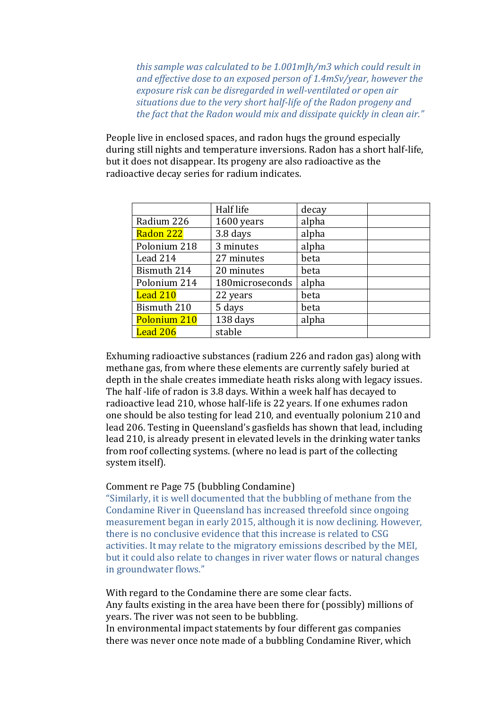*this sample was calculated to be 1.001mJh/m3 which could result in* and effective dose to an exposed person of 1.4mSv/year, however the *exposure risk can be disregarded in well-ventilated or open air* situations due to the very short half-life of the Radon progeny and *the fact that the Radon would mix and dissipate quickly in clean air."* 

People live in enclosed spaces, and radon hugs the ground especially during still nights and temperature inversions. Radon has a short half-life, but it does not disappear. Its progeny are also radioactive as the radioactive decay series for radium indicates.

|                 | Half life       | decay |
|-----------------|-----------------|-------|
| Radium 226      | 1600 years      | alpha |
| Radon 222       | 3.8 days        | alpha |
| Polonium 218    | 3 minutes       | alpha |
| Lead 214        | 27 minutes      | beta  |
| Bismuth 214     | 20 minutes      | beta  |
| Polonium 214    | 180microseconds | alpha |
| <b>Lead 210</b> | 22 years        | beta  |
| Bismuth 210     | 5 days          | beta  |
| Polonium 210    | 138 days        | alpha |
| Lead 206        | stable          |       |

Exhuming radioactive substances (radium 226 and radon gas) along with methane gas, from where these elements are currently safely buried at depth in the shale creates immediate heath risks along with legacy issues. The half-life of radon is 3.8 days. Within a week half has decayed to radioactive lead 210, whose half-life is 22 years. If one exhumes radon one should be also testing for lead 210, and eventually polonium 210 and lead 206. Testing in Queensland's gasfields has shown that lead, including lead 210, is already present in elevated levels in the drinking water tanks from roof collecting systems. (where no lead is part of the collecting system itself).

#### Comment re Page 75 (bubbling Condamine)

"Similarly, it is well documented that the bubbling of methane from the Condamine River in Queensland has increased threefold since ongoing measurement began in early 2015, although it is now declining. However, there is no conclusive evidence that this increase is related to CSG activities. It may relate to the migratory emissions described by the MEI, but it could also relate to changes in river water flows or natural changes in groundwater flows."

With regard to the Condamine there are some clear facts. Any faults existing in the area have been there for (possibly) millions of years. The river was not seen to be bubbling. In environmental impact statements by four different gas companies there was never once note made of a bubbling Condamine River, which